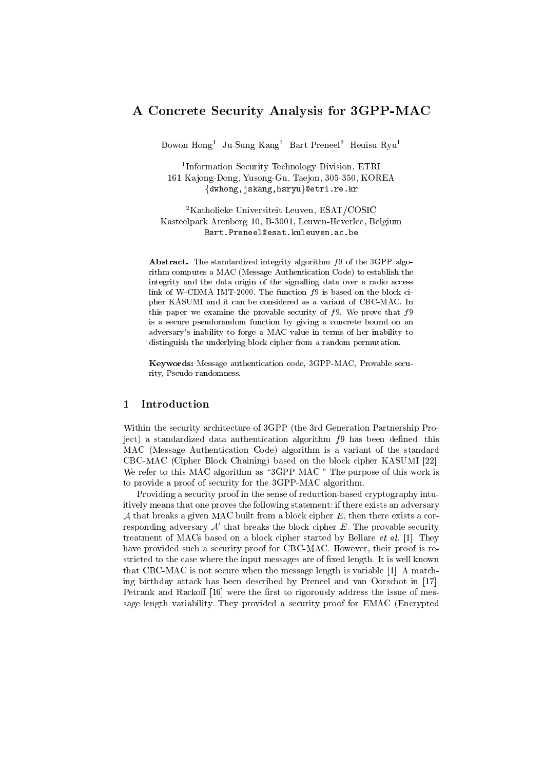# A Concrete Security Analysis for 3GPP-MAC

Dowon Hong1 Ju-Sung Kang1 Bart Preneel2 Heuisu Ryu1

<sup>1</sup> Information Security Technology Division, ETRI 161 Ka jong-Dong, Yusong-Gu, Taejon, 305-350, KOREA {dwhong,jskang,hsryu}@etri.re.kr

2Katholieke Universiteit Leuven, ESAT/COSIC Kasteelpark Arenberg 10, B-3001, Leuven-Heverlee, Belgium Bart.Preneel@esat.kuleuven.ac.be

Abstract. The standardized integrity algorithm  $f_9$  of the 3GPP algorithm computes a MAC (Message Authentication Code) to establish the integrity and the data origin of the signalling data over a radio access link of W-CDMA IMT-2000. The function  $f9$  is based on the block cipher KASUMI and it can be considered as a variant of CBC-MAC. In this paper we examine the provable security of  $f_9$ . We prove that  $f_9$ is a secure pseudorandom function by giving a concrete bound on an adversary's inability to forge a MAC value in terms of her inability to distinguish the underlying block cipher from a random permutation.

Keywords: Message authentication code, 3GPP-MAC, Provable security, Pseudo-randomness.

## 1 Introduction

Within the security architecture of 3GPP (the 3rd Generation Partnership Project) a standardized data authentication algorithm  $f9$  has been defined; this MAC (Message Authentication Code) algorithm is a variant of the standard CBC-MAC (Cipher Block Chaining) based on the block cipher KASUMI [22]. We refer to this MAC algorithm as "3GPP-MAC." The purpose of this work is to provide a proof of security for the 3GPP-MAC algorithm.

Providing a security proof in the sense of reduction-based cryptography intuitively means that one proves the following statement: if there exists an adversary A that breaks a given MAC built from a block cipher  $E$ , then there exists a corresponding adversary  $A'$  that breaks the block cipher  $E$ . The provable security treatment of MACs based on a block cipher started by Bellare et al. [1]. They have provided such a security proof for CBC-MAC. However, their proof is restricted to the case where the input messages are of fixed length. It is well known that CBC-MAC is not secure when the message length is variable [1]. A matching birthday attack has been described by Preneel and van Oorschot in [17]. Petrank and Rackoff  $[16]$  were the first to rigorously address the issue of message length variability. They provided a security proof for EMAC (Encrypted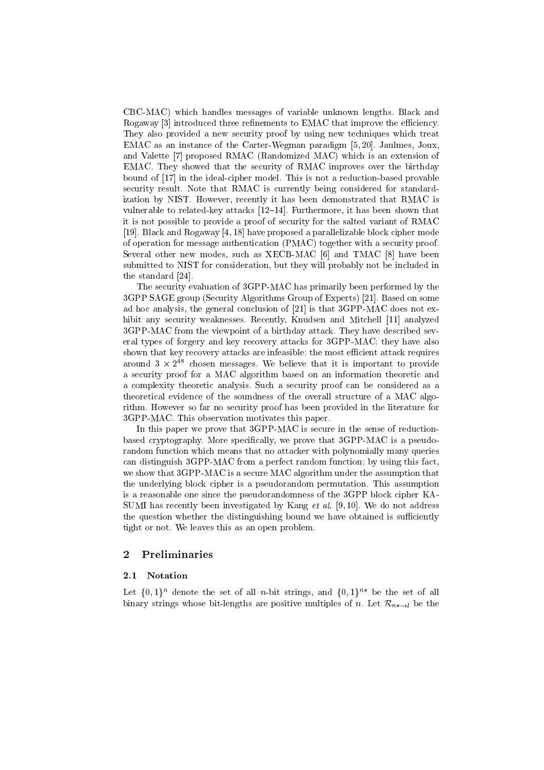CBC-MAC) which handles messages of variable unknown lengths. Black and Rogaway [3] introduced three refinements to EMAC that improve the efficiency. They also provided a new security proof by using new techniques which treat EMAC as an instance of the Carter-Wegman paradigm [5, 20]. Jaulmes, Joux, and Valette [7] proposed RMAC (Randomized MAC) which is an extension of EMAC. They showed that the security of RMAC improves over the birthday bound of [17] in the ideal-cipher model. This is not a reduction-based provable security result. Note that RMAC is currently being considered for standardization by NIST. However, recently ithas been demonstrated that RMAC is vulnerable to related-key attacks  $[12–14]$ . Furthermore, it has been shown that it is not possible to provide a proof of security for the salted variant of RMAC [19]. Black and Rogaway [4, 18] have proposed a parallelizable block cipher mode of operation for message authentication (PMAC) together with a security proof. Several other new modes, such as XECB-MAC [6] and TMAC [8] have been submitted to NIST for consideration, but they will probably not be included in the standard [24].

The security evaluation of 3GPP-MAC has primarily been performed by the 3GPP SAGE group (Security Algorithms Group of Experts) [21]. Based on some ad hoc analysis, the general conclusion of [21] is that 3GPP-MAC does not exhibit any security weaknesses. Recently, Knudsen and Mitchell [11] analyzed 3GPP-MAC from the viewpoint of a birthday attack. They have described several types of forgery and key recovery attacks for 3GPP-MAC; they have also shown that key recovery attacks are infeasible: the most efficient attack requires around 5 x 2<sup>14</sup> chosen messages. We believe that it is important to provide a security proof for a MAC algorithm based on an information theoretic and a complexity theoretic analysis. Such a security proof can be considered as a theoretical evidence of the soundness of the overall structure of a MAC algorithm. However so far no security proof has been provided in the literature for 3GPP-MAC. This observation motivates this paper.

In this paper we prove that 3GPP-MAC is secure in the sense of reductionbased cryptography. More specically, we prove that 3GPP-MAC is a pseudorandom function which means that no attacker with polynomially many queries can distinguish 3GPP-MAC from a perfect random function; by using this fact, we show that 3GPP-MAC is a secure MAC algorithm under the assumption that the underlying block cipher is a pseudorandom permutation. This assumption is a reasonable one since the pseudorandomness of the 3GPP block cipher KA-SUMI has recently been investigated by Kang *et al.* [9, 10]. We do not address the question whether the distinguishing bound we have obtained is sufficiently tight or not. We leaves this as an open problem.

## 2 Preliminaries

#### 2.1 Notation

Let  $\{0,1\}^n$  denote the set of all *n*-bit strings, and  $\{0,1\}^{n*}$  be the set of all binary strings whose bit-lengths are positive multiples of n. Let  $\mathcal{R}_{n*\to l}$  be the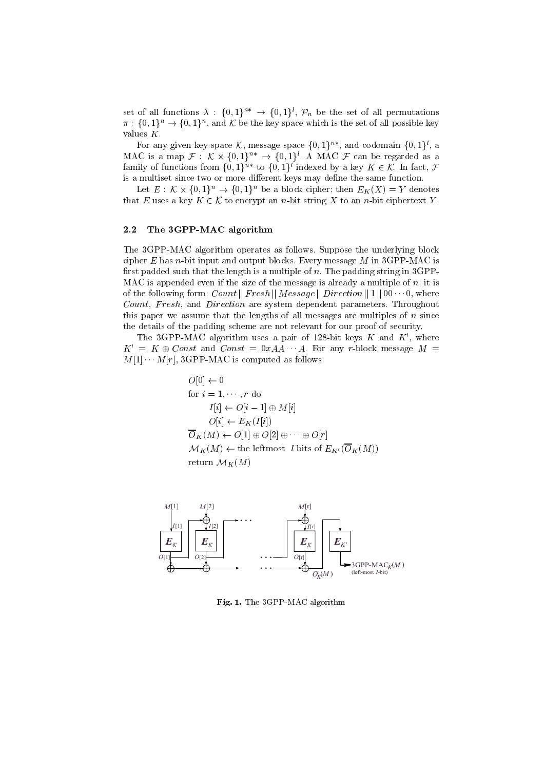set of all functions  $\lambda : \{0,1\}^{n*} \to \{0,1\}^l$ ,  $\mathcal{P}_n$  be the set of all permutations  $\pi: \{0,1\}^n \to \{0,1\}^n$ , and K be the key space which is the set of all possible key values K.

For any given key space K, message space  $\{0,1\}^{n*}$ , and codomain  $\{0,1\}^{l}$ , a MAC is a map  $\mathcal{F}: \mathcal{K} \times \{0,1\}^{n*} \to \{0,1\}^l$ . A MAC  $\mathcal{F}$  can be regarded as a family of functions from  $\{0,1\}^{n*}$  to  $\{0,1\}^l$  indexed by a key  $K \in \mathcal{K}$ . In fact,  $\mathcal{F}$ is a multiset since two or more different keys may define the same function.

Let  $E: \mathcal{K} \times \{0,1\}^n \to \{0,1\}^n$  be a block cipher; then  $E_K(X) = Y$  denotes that E uses a key  $K \in \mathcal{K}$  to encrypt an n-bit string X to an n-bit ciphertext Y.

### 2.2 The 3GPP-MAC algorithm

The 3GPP-MAC algorithm operates as follows. Suppose the underlying block cipher  $E$  has *n*-bit input and output blocks. Every message  $M$  in 3GPP-MAC is first padded such that the length is a multiple of n. The padding string in  $3GPP$ -MAC is appended even if the size of the message is already a multiple of  $n_i$ ; it is of the following form: Count  $||$  Fresh  $||$  M essage  $||$  Direction  $||$  1  $||$  00  $\cdots$  0, where Count, Fresh, and Direction are system dependent parameters. Throughout this paper we assume that the lengths of all messages are multiples of  $n$  since the details of the padding scheme are not relevant for our proof of security.

The 3GPP-MAC algorithm uses a pair of 128-bit keys  $K$  and  $K'$ , where  $K' = K \oplus Const$  and  $Const = 0xAA \cdots A$ . For any r-block message  $M = M[1] \cdots M[r]$ , 3GPP-MAC is computed as follows:

$$
O[0] \leftarrow 0
$$
  
for  $i = 1, \dots, r$  do  

$$
I[i] \leftarrow O[i-1] \oplus M[i]
$$

$$
O[i] \leftarrow E_K(I[i])
$$

$$
\overline{O}_K(M) \leftarrow O[1] \oplus O[2] \oplus \dots \oplus O[r]
$$

$$
\mathcal{M}_K(M) \leftarrow
$$
 the leftmost *l* bits of  $E_{K'}(\overline{O}_K(M))$   
return  $\mathcal{M}_K(M)$ 



Fig. 1. The 3GPP-MAC algorithm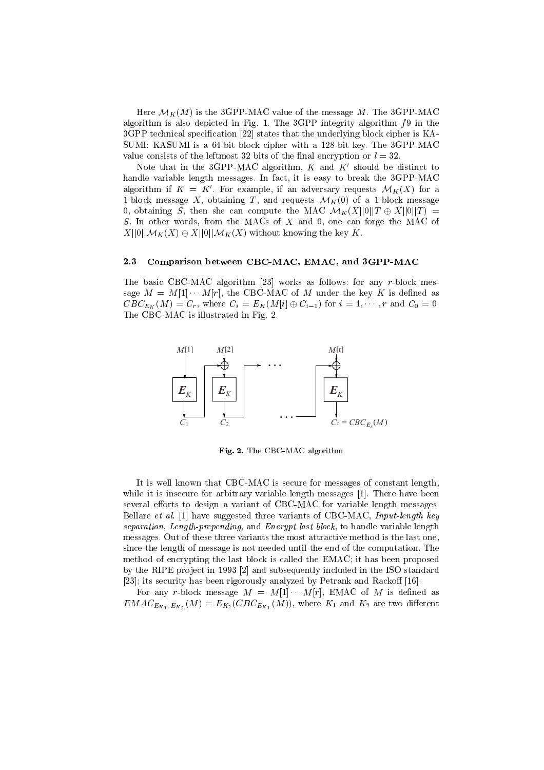Here  $\mathcal{M}_K(M)$  is the 3GPP-MAC value of the message M. The 3GPP-MAC algorithm is also depicted in Fig. 1. The 3GPP integrity algorithm  $f_9$  in the 3GPP technical specification [22] states that the underlying block cipher is KA-SUMI: KASUMI is a 64-bit block cipher with a 128-bit key. The 3GPP-MAC value consists of the leftmost 32 bits of the final encryption or  $l = 32$ .

Note that in the 3GPP-MAC algorithm,  $K$  and  $K'$  should be distinct to handle variable length messages. In fact, it is easy to break the 3GPP-MAC algorithm if  $K = K'$ . For example, if an adversary requests  $\mathcal{M}_K(X)$  for a 1-block message X, obtaining T, and requests  $\mathcal{M}_K(0)$  of a 1-block message 0, obtaining S, then she can compute the MAC  $\mathcal{M}_K(X||0||T \oplus X||0||T) =$ S. In other words, from the MACs of X and 0, one can forge the MAC of  $X||0||\mathcal{M}_K(X) \oplus X||0||\mathcal{M}_K(X)$  without knowing the key K.

#### 2.3 Comparison between CBC-MAC, EMAC, and 3GPP-MAC

The basic CBC-MAC algorithm [23] works as follows: for any r-block message  $M = M[1] \cdots M[r]$ , the CBC-MAC of M under the key K is defined as  $CBC_{E_K}(M) = C_r$ , where  $C_i = E_K(M[i] \oplus C_{i-1})$  for  $i = 1, \dots, r$  and  $C_0 = 0$ . The CBC-MAC is illustrated in Fig. 2.



Fig. 2. The CBC-MAC algorithm

It is well known that CBC-MAC is secure for messages of constant length, while it is insecure for arbitrary variable length messages [1]. There have been several efforts to design a variant of CBC-MAC for variable length messages. Bellare et al. [1] have suggested three variants of CBC-MAC, Input-length key separation, Length-prepending, and Encrypt last block, to handle variable length messages. Out of these three variants the most attractive method is the last one, since the length of message is not needed until the end of the computation. The method of encrypting the last block is called the EMAC; it has been proposed by the RIPE project in 1993 [2] and subsequently included in the ISO standard [23]; its security has been rigorously analyzed by Petrank and Rackoff  $[16]$ .

For any r-block message  $M = M[1] \cdots M[r]$ , EMAC of M is defined as  $EMAC_{E_{K_1},E_{K_2}}(M) = E_{K_2}(CBC_{E_{K_1}}(M))$ , where  $K_1$  and  $K_2$  are two different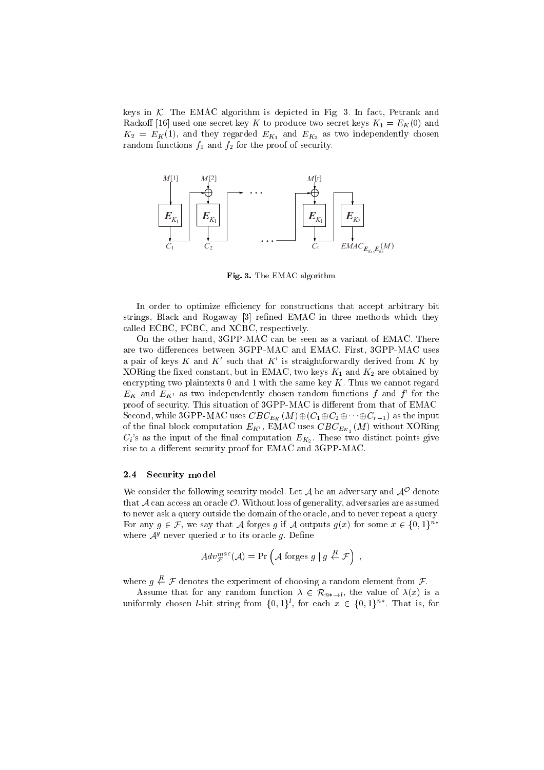keys in  $K$ . The EMAC algorithm is depicted in Fig. 3. In fact, Petrank and Rackoff [16] used one secret key K to produce two secret keys  $K_1 = E_K(0)$  and  $K_2 = E_K(1)$ , and they regarded  $E_{K_1}$  and  $E_{K_2}$  as two independently chosen random functions  $f_1$  and  $f_2$  for the proof of security.



Fig. 3. The EMAC algorithm

In order to optimize efficiency for constructions that accept arbitrary bit strings, Black and Rogaway [3] refined EMAC in three methods which they called ECBC, FCBC, and XCBC, respectively.

On the other hand, 3GPP-MAC can be seen as a variant of EMAC. There are two differences between 3GPP-MAC and EMAC. First, 3GPP-MAC uses a pair of keys K and K' such that K' is straightforwardly derived from K by XORing the fixed constant, but in EMAC, two keys  $K_1$  and  $K_2$  are obtained by encrypting two plaintexts  $0$  and  $1$  with the same key  $K$ . Thus we cannot regard  $E_K$  and  $E_{K'}$  as two independently chosen random functions f and f' for the proof of security. This situation of 3GPP-MAC is different from that of EMAC. Second, while 3GPP-MAC uses  $CBC_{E_K}(M)\oplus (C_1\oplus C_2\oplus\cdots\oplus C_{r-1})$  as the input of the final block computation  $E_{K'}$ , EMAC uses  $CBC_{E_{K}}(M)$  without XORing  $C_i$ 's as the input of the final computation  $E_{K_2}$ . These two distinct points give rise to a different security proof for EMAC and 3GPP-MAC.

### 2.4 Security model

We consider the following security model. Let  $\mathcal A$  be an adversary and  $\mathcal A^+$  denote that  $\mathcal A$  can access an oracle  $\mathcal O$ . Without loss of generality, adversaries are assumed to never ask a query outside the domain of the oracle, and to never repeat a query. For any  $g \in \mathcal{F}$ , we say that A forges g if A outputs  $g(x)$  for some  $x \in \{0,1\}^{n*}$ where  $\mathcal{A}^g$  never queried x to its oracle q. Define

$$
Adv^{mac}_{\mathcal{F}}(\mathcal{A}) = \Pr\left(\mathcal{A} \text{ forges } g \mid g \stackrel{R}{\leftarrow} \mathcal{F}\right) ,
$$

where  $g \stackrel{R}{\leftarrow} \mathcal{F}$  denotes the experiment of choosing a random element from  $\mathcal{F}$ .

Assume that for any random function  $\lambda \in \mathcal{R}_{n* \to l}$ , the value of  $\lambda(x)$  is a uniformly chosen *l*-bit string from  $\{0,1\}^l$ , for each  $x \in \{0,1\}^{n*}$ . That is, for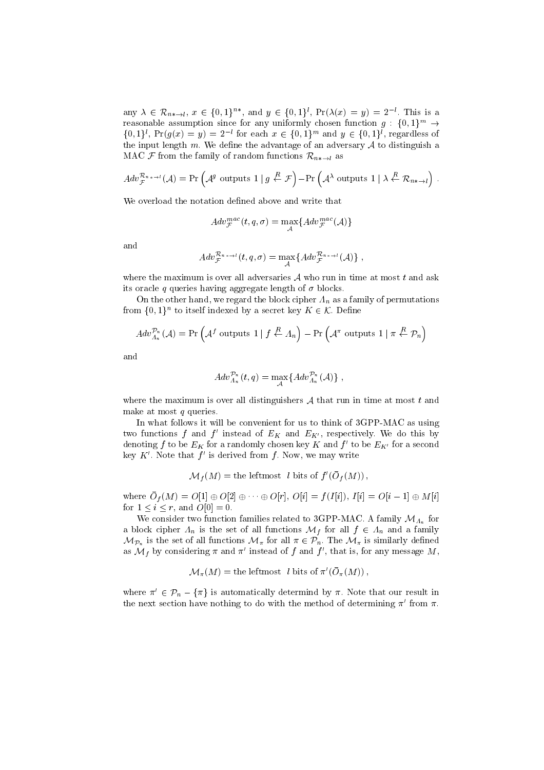any  $\lambda \in \mathcal{R}_{n*\to l}$ ,  $x \in \{0,1\}^{n*}$ , and  $y \in \{0,1\}^l$ ,  $\Pr(\lambda(x) = y) = 2^{-l}$ . This is a reasonable assumption since for any uniformly chosen function  $g: \{0,1\}^m \to$  $\{0,1\}^{l}$ ,  $\Pr(g(x) = y) = 2^{-l}$  for each  $x \in \{0,1\}^{m}$  and  $y \in \{0,1\}^{l}$ , regardless of the input length m. We define the advantage of an adversary  $A$  to distinguish a MAC F from the family of random functions  $\mathcal{R}_{n*\to l}$  as

$$
Adv_{\mathcal{F}}^{\mathcal{R}_{n * \to l}}(\mathcal{A}) = \Pr\left(\mathcal{A}^g \text{ outputs } 1 \mid g \stackrel{R}{\leftarrow} \mathcal{F}\right) - \Pr\left(\mathcal{A}^{\lambda} \text{ outputs } 1 \mid \lambda \stackrel{R}{\leftarrow} \mathcal{R}_{n * \to l}\right).
$$

We overload the notation defined above and write that

$$
Adv^{mac}_{\mathcal{F}}(t,q,\sigma)=\max_{\mathcal{A}}\{Adv^{mac}_{\mathcal{F}}(\mathcal{A})\}
$$

and

$$
Adv_{\mathcal{F}}^{\mathcal{R}_{n * \to l}}(t,q,\sigma) = \max_{\mathcal{A}} \{Adv_{\mathcal{F}}^{\mathcal{R}_{n * \to l}}(\mathcal{A})\},
$$

where the maximum is over all adversaries  $A$  who run in time at most  $t$  and ask its oracle q queries having aggregate length of  $\sigma$  blocks.

On the other hand, we regard the block cipher  $\Lambda_n$  as a family of permutations from  $\{0,1\}^n$  to itself indexed by a secret key  $K \in \mathcal{K}$ . Define

$$
Adv_{\Lambda_n}^{\mathcal{P}_n}(\mathcal{A}) = \Pr\left(\mathcal{A}^f \text{ outputs } 1 \mid f \stackrel{R}{\leftarrow} \Lambda_n\right) - \Pr\left(\mathcal{A}^{\pi} \text{ outputs } 1 \mid \pi \stackrel{R}{\leftarrow} \mathcal{P}_n\right)
$$

and

$$
Adv^{\mathcal{P}_n}_{\Lambda_n}(t,q) = \max_A \{Adv^{\mathcal{P}_n}_{\Lambda_n}(\mathcal{A})\},\,
$$

where the maximum is over all distinguishers  $A$  that run in time at most  $t$  and make at most  $q$  queries.

In what follows it will be convenient for us to think of 3GPP-MAC as using two functions f and f' instead of  $E_K$  and  $E_{K'}$ , respectively. We do this by denoting f to be  $E_K$  for a randomly chosen key K and f' to be  $E_{K'}$  for a second key  $K'$ . Note that  $f'$  is derived from f. Now, we may write

$$
\mathcal{M}_f(M) = \text{the leftmost } l \text{ bits of } f'(\bar{O}_f(M)),
$$

where  $\mathcal{O}_f(M) = \mathcal{O}[1] \oplus \mathcal{O}[2] \oplus \cdots \oplus \mathcal{O}[r], \mathcal{O}[i] = J(I[i]), I[i] = \mathcal{O}[i-1] \oplus M[i]$ for  $1 \le i \le r$ , and  $O[0] = 0$ .

We consider two function families related to 3GPP-MAC. A family  $\mathcal{M}_{A_n}$  for a block cipher  $\Lambda_n$  is the set of all functions  $\mathcal{M}_f$  for all  $f \in \Lambda_n$  and a family  $\mathcal{M}_{\mathcal{P}_n}$  is the set of all functions  $\mathcal{M}_{\pi}$  for all  $\pi \in \mathcal{P}_n$ . The  $\mathcal{M}_{\pi}$  is similarly defined as  $\mathcal{M}_f$  by considering  $\pi$  and  $\pi'$  instead of f and f', that is, for any message M,

$$
\mathcal{M}_{\pi}(M) = \text{the leftmost } l \text{ bits of } \pi'(\bar{O}_{\pi}(M)),
$$

where  $\pi' \in \mathcal{P}_n - \{\pi\}$  is automatically determind by  $\pi$ . Note that our result in the next section have nothing to do with the method of determining  $\pi'$  from  $\pi$ .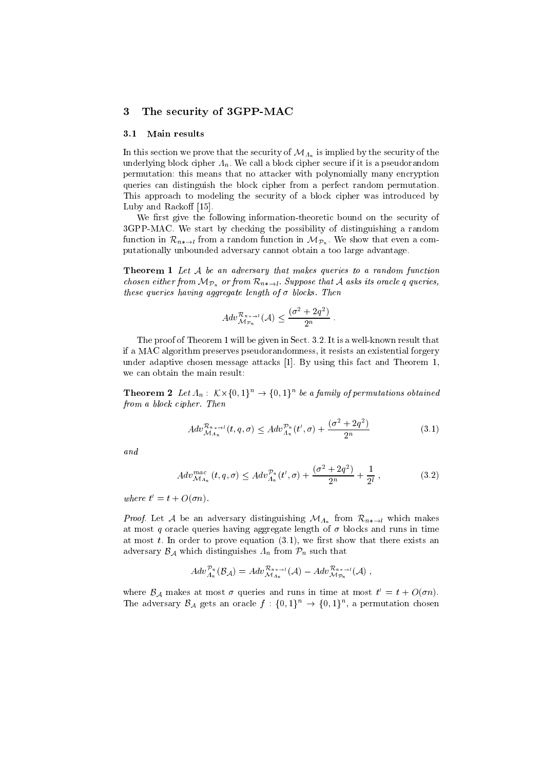### 3 The security of 3GPP-MAC

### 3.1 Main results

In this section we prove that the security of  $\mathcal{M}_{A_n}$  is implied by the security of the underlying block cipher  $\Lambda_n$ . We call a block cipher secure if it is a pseudorandom permutation: this means that no attacker with polynomially many encryption queries can distinguish the block cipher from a perfect random permutation. This approach to modeling the security of a block cipher was introduced by Luby and Rackoff  $[15]$ .

We first give the following information-theoretic bound on the security of 3GPP-MAC. We start by checking the possibility of distinguishing a random function in  $\mathcal{R}_{n*\to l}$  from a random function in  $\mathcal{M}_{\mathcal{P}_n}$ . We show that even a computationally unbounded adversary cannot obtain a too large advantage.

**Theorem 1** Let A be an adversary that makes queries to a random function chosen either from  $\mathcal{M}_{\mathcal{P}_n}$  or from  $\mathcal{R}_{n*\to l}$ . Suppose that A asks its oracle q queries, these queries having aggregate length of  $\sigma$  blocks. Then

$$
Adv_{\mathcal{M}_{\mathcal{P}_n}}^{\mathcal{R}_{n * \to l}}(\mathcal{A}) \leq \frac{(\sigma^2 + 2q^2)}{2^n}.
$$

The proof of Theorem 1 will be given in Sect. 3.2. It is a well-known result that if a MAC algorithm preserves pseudorandomness, it resists an existential forgery under adaptive chosen message attacks [1]. By using this fact and Theorem 1, we can obtain the main result:

**Theorem 2** Let  $\Lambda_n$ :  $\mathcal{K}\times\{0,1\}^n \rightarrow \{0,1\}^n$  be a family of permutations obtained from a block cipher. Then

$$
Adv_{\mathcal{M}_{A_n}}^{\mathcal{R}_{n*+1}}(t,q,\sigma) \le Adv_{\mathcal{A}_n}^{\mathcal{P}_n}(t',\sigma) + \frac{(\sigma^2 + 2q^2)}{2^n}
$$
(3.1)

and

$$
Adv_{\mathcal{M}_{A_n}}^{mac}(t, q, \sigma) \le Adv_{A_n}^{\mathcal{P}_n}(t', \sigma) + \frac{(\sigma^2 + 2q^2)}{2^n} + \frac{1}{2^l}, \qquad (3.2)
$$

where  $\iota = \iota + O(\sigma n)$ .

*Proof.* Let A be an adversary distinguishing  $\mathcal{M}_{A_n}$  from  $\mathcal{R}_{n* \to l}$  which makes at most q oracle queries having aggregate length of  $\sigma$  blocks and runs in time at most  $t$ . In order to prove equation  $(3.1)$ , we first show that there exists an adversary  $\mathcal{B}_\mathcal{A}$  which distinguishes  $\Lambda_n$  from  $\mathcal{P}_n$  such that

$$
Adv_{\Lambda_n}^{\mathcal{P}_n}(\mathcal{B}_\mathcal{A})=Adv_{\mathcal{M}_{\Lambda_n}}^{\mathcal{R}_{n\,*\to l}}(\mathcal{A})-Adv_{\mathcal{M}_{\mathcal{P}_n}}^{\mathcal{R}_{n\,*\to l}}(\mathcal{A})\;,
$$

where  $D_A$  makes at most  $\sigma$  queries and runs in time at most  $\iota = \iota + O(\sigma n)$ . The adversary  $\mathcal{B}_\mathcal{A}$  gets an oracle  $f: \{0,1\}^n \to \{0,1\}^n$ , a permutation chosen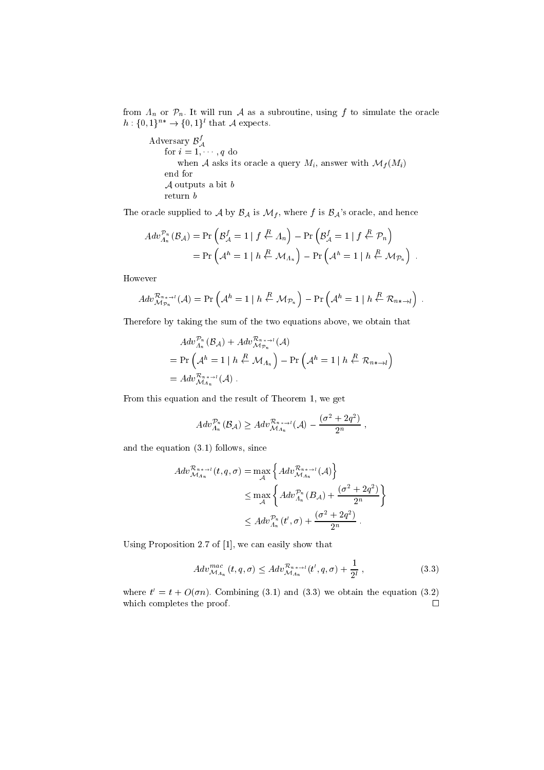from  $\Lambda_n$  or  $\mathcal{P}_n$ . It will run A as a subroutine, using f to simulate the oracle  $h: \{0,1\}^{n*} \rightarrow \{0,1\}^l$  that A expects.

Adversary  $\mathcal{B}_{\mathcal{A}}^{f}$ for i = 1; ; q do when A asks its oracle a query  $M_i$ , answer with  $\mathcal{M}_f(M_i)$ end for  $\mathcal A$  outputs a bit  $b$ return b

The oracle supplied to A by  $\mathcal{B}_\mathcal{A}$  is  $\mathcal{M}_f$ , where f is  $\mathcal{B}_\mathcal{A}$ 's oracle, and hence

$$
Adv_{\Lambda_n}^{\mathcal{P}_n}(\mathcal{B}_\mathcal{A}) = \Pr\left(\mathcal{B}_\mathcal{A}^f = 1 \mid f \stackrel{R}{\leftarrow} \Lambda_n\right) - \Pr\left(\mathcal{B}_\mathcal{A}^f = 1 \mid f \stackrel{R}{\leftarrow} \mathcal{P}_n\right)
$$

$$
= \Pr\left(\mathcal{A}^h = 1 \mid h \stackrel{R}{\leftarrow} \mathcal{M}_{\Lambda_n}\right) - \Pr\left(\mathcal{A}^h = 1 \mid h \stackrel{R}{\leftarrow} \mathcal{M}_{\mathcal{P}_n}\right) .
$$

However

$$
Adv_{\mathcal{M}_{\mathcal{P}_n}}^{\mathcal{R}_{n* \to l}}(\mathcal{A}) = \Pr\left(\mathcal{A}^h = 1 \mid h \stackrel{R}{\leftarrow} \mathcal{M}_{\mathcal{P}_n}\right) - \Pr\left(\mathcal{A}^h = 1 \mid h \stackrel{R}{\leftarrow} \mathcal{R}_{n* \to l}\right).
$$

Therefore by taking the sum of the two equations above, we obtain that

$$
Adv_{\Lambda_n}^{\mathcal{P}_n}(\mathcal{B}_{\mathcal{A}}) + Adv_{\mathcal{M}_{\mathcal{P}_n}}^{\mathcal{R}_{n+1-l}}(\mathcal{A})
$$
  
=  $\Pr\left(\mathcal{A}^h = 1 \mid h \stackrel{R}{\leftarrow} \mathcal{M}_{\Lambda_n}\right) - \Pr\left(\mathcal{A}^h = 1 \mid h \stackrel{R}{\leftarrow} \mathcal{R}_{n \leftarrow l}\right)$   
=  $Adv_{\mathcal{M}_{\Lambda_n}}^{\mathcal{R}_{n \leftarrow l}}(\mathcal{A})$ .

From this equation and the result of Theorem 1, we get

$$
Adv_{A_n}^{\mathcal{P}_n}(\mathcal{B}_\mathcal{A}) \ge Adv_{\mathcal{M}_{A_n}}^{\mathcal{R}_{n * \to l}}(\mathcal{A}) - \frac{(\sigma^2 + 2q^2)}{2^n},
$$

and the equation (3.1) follows, since

$$
Adv_{\mathcal{M}_{A_n}}^{\mathcal{R}_{n* \to I}}(t, q, \sigma) = \max_{\mathcal{A}} \left\{ Adv_{\mathcal{M}_{A_n}}^{\mathcal{R}_{n* \to I}}(\mathcal{A}) \right\}
$$
  

$$
\leq \max_{\mathcal{A}} \left\{ Adv_{A_n}^{\mathcal{P}_n}(B_{\mathcal{A}}) + \frac{(\sigma^2 + 2q^2)}{2^n} \right\}
$$
  

$$
\leq Adv_{A_n}^{\mathcal{P}_n}(t', \sigma) + \frac{(\sigma^2 + 2q^2)}{2^n}.
$$

Using Proposition 2.7 of [1], we can easily show that

$$
Adv_{\mathcal{M}_{A_n}}^{mac}(t,q,\sigma) \leq Adv_{\mathcal{M}_{A_n}}^{\mathcal{R}_{n* \to l}}(t',q,\sigma) + \frac{1}{2^l}, \qquad (3.3)
$$

where  $t = t + O(\sigma n)$ . Combining (5.1) and (5.3) we obtain the equation (5.2) which completes the proof.  $\Box$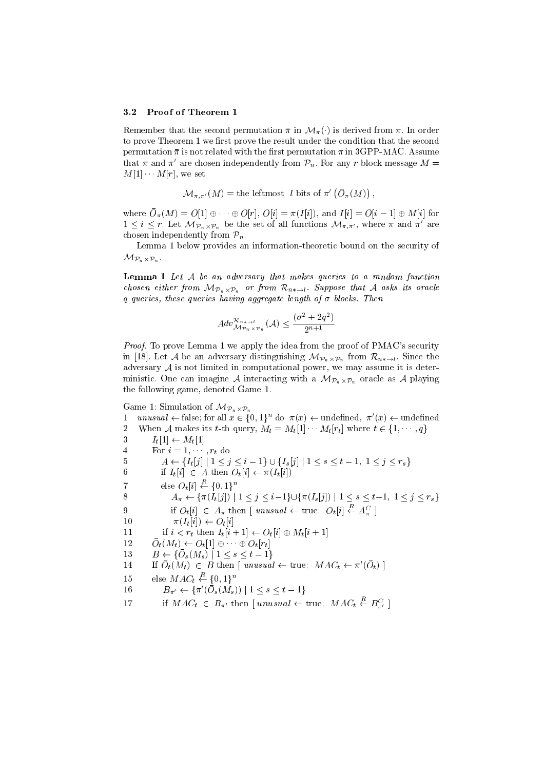#### 3.2 Proof of Theorem 1

Remember that the second permutation  $\bar{\pi}$  in  $\mathcal{M}_{\pi}(\cdot)$  is derived from  $\pi$ . In order to prove Theorem 1 we first prove the result under the condition that the second permutation  $\bar{\pi}$  is not related with the first permutation  $\pi$  in 3GPP-MAC. Assume that  $\pi$  and  $\pi'$  are chosen independently from  $\mathcal{P}_n$ . For any r-block message  $M =$  $M[1] \cdots M[r]$ , we set

> $\mathcal{M}_{\pi,\pi'}(M) = \text{the leftmost } l \text{ bits of }\pi' \left(O_{\pi}(M)\right),$ the contract of the contract of the contract of the contract of the contract of

where  $\mathcal{O}_{\pi}(M) = \mathcal{O}[1] \oplus \cdots \oplus \mathcal{O}[i], \mathcal{O}[i] = \pi(1|i]),$  and  $T[i] = \mathcal{O}[i - 1] \oplus M[i]$  for  $1 \leq i \leq r$ . Let  $\mathcal{M}_{\mathcal{P}_n \times \mathcal{P}_n}$  be the set of all functions  $\mathcal{M}_{\pi,\pi'}$ , where  $\pi$  and  $\pi$  are chosen independently from  $\mathcal{P}_n$ .

Lemma 1 below provides an information-theoretic bound on the security of MPn-Pn .

**Lemma 1** Let  $A$  be an adversary that makes queries to a random function chosen either from  $\mathcal{M}_{\mathcal{P}_n\times\mathcal{P}_n}$  or from  $\mathcal{K}_{n*\to l}$ . Suppose that A asks its oracle  $q$  queries, these queries having aggregate length of  $\sigma$  blocks. Then

$$
Adv_{\mathcal{M}_{\mathcal{P}_n \times \mathcal{P}_n}}^{\mathcal{R}_{n * \to l}}(\mathcal{A}) \le \frac{(\sigma^2 + 2q^2)}{2^{n+1}}.
$$

Proof. To prove Lemma 1 we apply the idea from the proof of PMAC's security In [18]. Let A be an adversary distinguishing  $\mathcal{M}_{\mathcal{P}_n\times\mathcal{P}_n}$  from  $\mathcal{K}_{n*\rightarrow l}$ . Since the adversary  $A$  is not limited in computational power, we may assume it is deterministic. One can imagine A interaction  $\Theta$  with a MPN-  $\mu$  MP  $\mu$  is a set of  $\Gamma$  and  $\Theta$ the following game, denoted Game 1.

Game 1: Simulation of  $\mathcal{M}_{\mathcal{P}_n\times\mathcal{P}_n}$ Photos and the contract of the contract of the contract of the contract of the contract of the contract of the contract of the contract of the contract of the contract of the contract of the contract of the contract of the

1 unusual  $\leftarrow$  false; for all  $x \in \{0,1\}^n$  do  $\pi(x) \leftarrow$  undefined,  $\pi'(x) \leftarrow$  undefined 2 When A makes its t-th query,  $M_t = M_t[1] \cdots M_t[r_t]$  where  $t \in \{1, \dots, q\}$ 3  $I_t[1] \leftarrow M_t[1]$ 4 For  $i = 1, \dots, r_t$  do 5  $A \leftarrow \{I_t[j] \mid 1 \leq j \leq i-1\} \cup \{I_s[j] \mid 1 \leq s \leq t-1, 1 \leq j \leq r_s\}$ 6 if  $I_t[i] \in A$  then  $O_t[i] \leftarrow \pi(I_t[i])$ 7 else  $O_t[i] \leftarrow R \{0,1\}^n$ 8  $A_{\pi} \leftarrow {\pi(I_t[j])} | 1 \leq j \leq i-1 \} \cup {\pi(I_s[j])} | 1 \leq s \leq t-1, 1 \leq j \leq r_s$ 9 if  $O_t[i] \in A_\pi$  then [ unusual  $\leftarrow$  true;  $O_t[i] \stackrel{R}{\leftarrow} A_\pi^C$  ] 10  $\pi(I_t[i]) \leftarrow O_t[i]$ 11 if  $i < r_t$  then  $I_t[i + 1] \leftarrow O_t[i] \oplus M_t[i + 1]$  $12$   $O_t(1)$   $\leftarrow$   $O_t(1)$   $\oplus$   $\cdots$   $\oplus$   $O_t(r_t)$ 19  $B \subseteq \{ \cup s \mid \forall i \leq s \leq t-1 \}$ 14 II  $O_t(M_t) \in D$  then | unusual  $\leftarrow$  true;  $M A C_t \leftarrow \pi (O_t)$  | 15 else  $MAC_t \stackrel{R}{\leftarrow} \{0,1\}^n$ 10  $D_{\pi'} \leftarrow \{ \pi \left( U_s(M_s) \right) | 1 \leq s \leq t-1 \}$ 17 if  $MAC_t \in B_{\pi'}$  then [ unusual  $\leftarrow$  true;  $MAC_t \stackrel{R}{\leftarrow} B_{\pi'}^C$  ]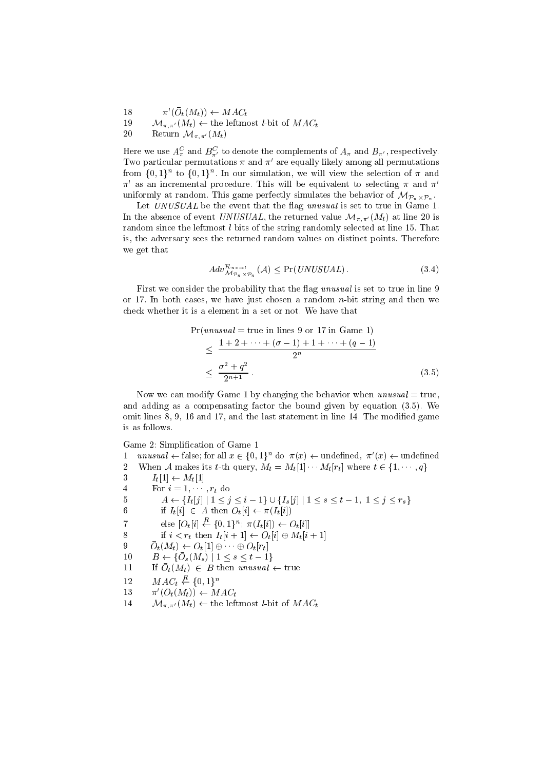- 18  $\pi$  ( $U_t$ ( $M_t$ ))  $\leftarrow$   $ML_t$
- 19  $\mathcal{M}_{\pi,\pi'}(M_t) \leftarrow$  the leftmost *l*-bit of  $MAC_t$
- 20 Return  $\mathcal{M}_{\pi,\pi'}(M_t)$

Here we use  $A_\pi^C$  and  $B_{\pi'}^C$  to denote the complements of  $A_\pi$  and  $B_{\pi'}$ , respectively. Two particular permutations  $\pi$  and  $\pi'$  are equally likely among all permutations from  $\{0,1\}^n$  to  $\{0,1\}^n$ . In our simulation, we will view the selection of  $\pi$  and  $\pi'$  as an incremental procedure. This will be equivalent to selecting  $\pi$  and  $\pi'$ uniformly at random. This game perfectly simulates the behavior of MPn-Pn .

Let UNUSUAL be the event that the flag unusual is set to true in Game 1. In the absence of event UNUSUAL, the returned value  $\mathcal{M}_{\pi,\pi'}(M_t)$  at line 20 is random since the leftmost  $l$  bits of the string randomly selected at line 15. That is, the adversary sees the returned random values on distinct points. Therefore we get that

$$
Adv_{\mathcal{M}_{\mathcal{P}_n \times \mathcal{P}_n}}^{\mathcal{R}_{n \times \mathcal{A}}} (\mathcal{A}) \le \Pr(UNUSUAL). \tag{3.4}
$$

First we consider the probability that the flag *unusual* is set to true in line 9 or 17. In both cases, we have just chosen a random  $n$ -bit string and then we check whether it is a element in a set or not. We have that

Pn and the contract of the contract of the contract of the contract of the contract of the contract of the contract of the contract of the contract of the contract of the contract of the contract of the contract of the con

$$
\Pr(unusual = true in lines 9 or 17 in Game 1)
$$
\n
$$
\leq \frac{1+2+\cdots+(\sigma-1)+1+\cdots+(q-1)}{2^n}
$$
\n
$$
\leq \frac{\sigma^2+q^2}{2^{n+1}}.
$$
\n(3.5)

Now we can modify Game 1 by changing the behavior when  $unusual = true$ , and adding as a compensating factor the bound given by equation (3.5). We omit lines 8, 9, 16 and 17, and the last statement in line 14. The modified game is as follows.

Game 2: Simplication of Game 1

1 unusual  $\leftarrow$  false; for all  $x \in \{0,1\}^n$  do  $\pi(x) \leftarrow$  undefined,  $\pi'(x) \leftarrow$  undefined 2 When A makes its t-th query,  $M_t = M_t[1] \cdots M_t[r_t]$  where  $t \in \{1, \dots, q\}$ 3  $I_t[1] \leftarrow M_t[1]$ 4 For  $i = 1, \dots, r_t$  do 5  $A \leftarrow \{I_t[j] \mid 1 \leq j \leq i-1\} \cup \{I_s[j] \mid 1 \leq s \leq t-1, 1 \leq j \leq r_s\}$ 6 if  $I_t[i] \in A$  then  $O_t[i] \leftarrow \pi(I_t[i])$ 7 else  $[O_t[i] \stackrel{R}{\leftarrow} \{0,1\}^n; \pi(I_t[i]) \leftarrow O_t[i]$ 8 if  $i < r_t$  then  $I_t[i + 1] \leftarrow O_t[i] \oplus M_t[i + 1]$  $\mathcal{O}_t(w_t) \leftarrow \mathcal{O}_t|1| \oplus \cdots \oplus \mathcal{O}_t|r_t|$  $10 \quad D \leftarrow \bigcup_{s \in N} s_{s} \mid 1 \leq s \leq t-1$  $11 \qquad \text{if } \text{U}_t(\text{M}_t) \in D \text{ then }$  unusum  $\leftarrow$  true 12  $MAC_t \stackrel{R}{\leftarrow} \{0,1\}^n$ 13  $\pi$  ( $U_t$ ( $M_t$ ))  $\leftarrow$   $M$   $A U_t$ 14  $\mathcal{M}_{\pi,\pi'}(M_t) \leftarrow$  the leftmost *l*-bit of  $MAC_t$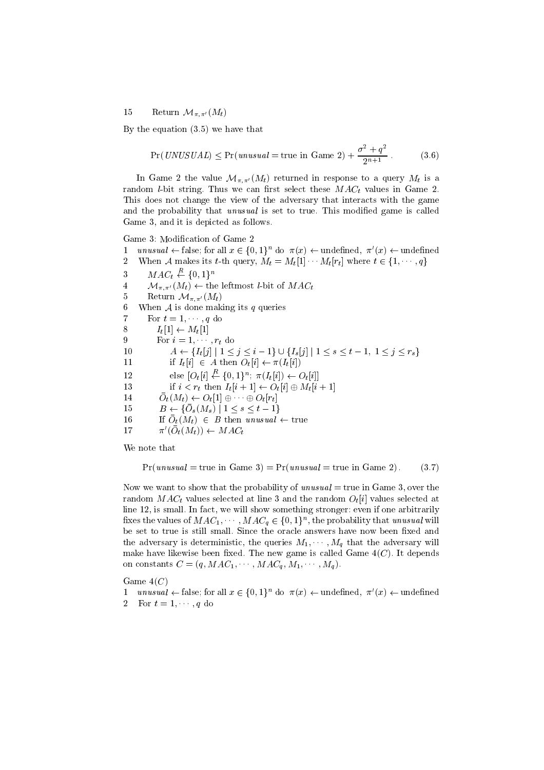15 Return  $\mathcal{M}_{\pi,\pi'}(M_t)$ 

By the equation (3.5) we have that

$$
Pr(UNUSUAL) \le Pr(unusual = true in Game 2) + \frac{\sigma^2 + q^2}{2^{n+1}}.
$$
 (3.6)

In Game 2 the value  $\mathcal{M}_{\pi,\pi'}(M_t)$  returned in response to a query  $M_t$  is a random *l*-bit string. Thus we can first select these  $MAC_t$  values in Game 2. This does not change the view of the adversary that interacts with the game and the probability that unusual is set to true. This modified game is called Game 3, and it is depicted as follows.

Game 3: Modication of Game 2

- 1 unusual  $\leftarrow$  false; for all  $x \in \{0,1\}^n$  do  $\pi(x) \leftarrow$  undefined,  $\pi'(x) \leftarrow$  undefined
- 2 When A makes its t-th query,  $M_t = M_t[1] \cdots M_t[r_t]$  where  $t \in \{1, \dots, q\}$
- 3  $MAC_t \stackrel{R}{\leftarrow} \{0,1\}^n$
- 4  $\mathcal{M}_{\pi,\pi'}(M_t) \leftarrow$  the leftmost *l*-bit of  $MAC_t$
- 5 Return  $\mathcal{M}_{\pi,\pi'}(M_t)$

6 When A is done making its q queries

7 For  $t = 1, \dots, q$  do 8  $I_t[1] \leftarrow M_t[1]$ 

9 For  $i = 1, \dots, r_t$  do

10  $A \leftarrow \{I_t[j] \mid 1 \leq j \leq i-1\} \cup \{I_s[j] \mid 1 \leq s \leq t-1, 1 \leq j \leq r_s\}$ 

- 11 if  $I_t[i] \in A$  then  $O_t[i] \leftarrow \pi(I_t[i])$
- 12 else  $[O_t[i] \stackrel{R}{\leftarrow} \{0,1\}^n; \pi(I_t[i]) \leftarrow O_t[i]$
- 13 if  $i < r_t$  then  $I_t[i+1] \leftarrow O_t[i] \oplus M_t[i+1]$
- $14$   $U_t(M_t) \leftarrow U_t[1] \oplus \cdots \oplus U_t[T_t]$
- $15 \quad D \leftarrow \{U_s \{M_s\} \mid 1 \leq s \leq t-1\}$
- $10$  If  $O_t(M_t) \in D$  then unusum  $\leftarrow$  true
- 17  $\pi$  ( $U_t$ ( $M_t$ ))  $\leftarrow$  M A $U_t$

We note that

$$
Pr(unusual = true in Game 3) = Pr(unusual = true in Game 2).
$$
 (3.7)

Now we want to show that the probability of unusual  $=$  true in Game 3, over the random  $MAC_t$  values selected at line 3 and the random  $O_t[i]$  values selected at line 12, is small. In fact, we will show something stronger: even if one arbitrarily fixes the values of  $MAC_1, \cdots, MAC_q \in \{0,1\}^n,$  the probability that unusual will be set to true is still small. Since the oracle answers have now been fixed and the adversary is deterministic, the queries  $M_1, \cdots, M_q$  that the adversary will make have likewise been fixed. The new game is called Game  $4(C)$ . It depends on constants  $C = (q, MAC_1, \cdots, MAC_q, M_1, \cdots, M_q).$ 

Game  $4(C)$ 

1 unusual  $\leftarrow$  false; for all  $x \in \{0,1\}^n$  do  $\pi(x) \leftarrow$  undefined,  $\pi'(x) \leftarrow$  undefined 2 For  $t = 1, \dots, q$  do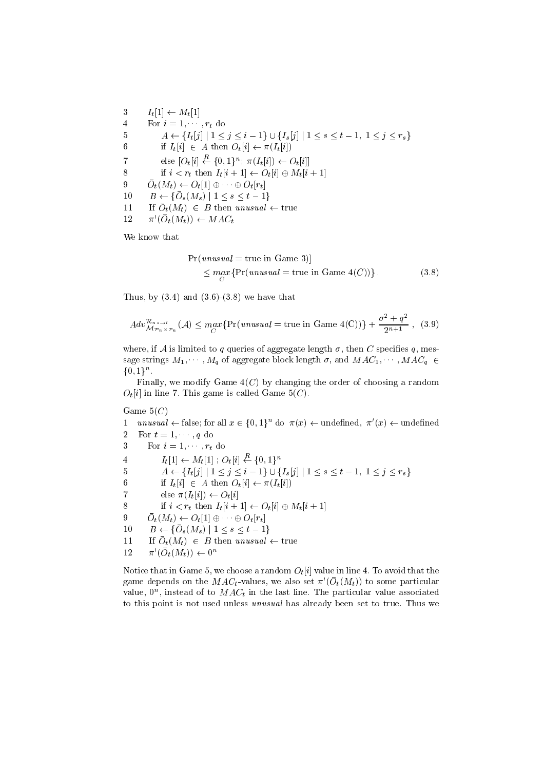3  $I_t[1] \leftarrow M_t[1]$ 4 For  $i = 1, \dots, r_t$  do 5  $A \leftarrow \{I_t[j] \mid 1 \leq j \leq i-1\} \cup \{I_s[j] \mid 1 \leq s \leq t-1, 1 \leq j \leq r_s\}$ 6 if  $I_t[i] \in A$  then  $O_t[i] \leftarrow \pi(I_t[i])$ 7 else  $[O_t[i] \stackrel{R}{\leftarrow} \{0,1\}^n; \pi(I_t[i]) \leftarrow O_t[i]$ 8 if  $i < r_t$  then  $I_t[i + 1] \leftarrow O_t[i] \oplus M_t[i + 1]$  $\mathcal{Y} = \mathcal{O}_t(W_t) \leftarrow \mathcal{O}_t[1] \oplus \cdots \oplus \mathcal{O}_t[T_t]$  $10 \quad D \leftarrow \{U_s(M_s) \mid 1 \leq s \leq t-1\}$  $11 \quad \text{if } \mathcal{O}_t(\mathcal{M}_t) \subset \mathcal{D}$  then unusum  $\leftarrow$  true 12  $\pi$  ( $\mathcal{O}_t(M_t)$ )  $\leftarrow$  MAC<sub>t</sub>

We know that

$$
\Pr(unusual = true in Game 3)]
$$
  
\n
$$
\leq \max_{C} \{ \Pr(unusual = true in Game 4(C)) \}.
$$
 (3.8)

Thus, by  $(3.4)$  and  $(3.6)-(3.8)$  we have that

$$
Adv_{\mathcal{M}_{\mathcal{P}_n \times \mathcal{P}_n}}^{\mathcal{R}_{n \times \mathcal{P}_n}}(\mathcal{A}) \le \max_{C} \{ \Pr(unusual = \text{true in Game } 4(C)) \} + \frac{\sigma^2 + q^2}{2^{n+1}}, \quad (3.9)
$$

where, if A is limited to q queries of aggregate length  $\sigma$ , then C specifies q, message strings  $M_1, \cdots, M_q$  of aggregate block length  $\sigma$ , and  $MAC_1, \cdots, MAC_q$   $\in$  $\{0,1\}^n$ .

Finally, we modify Game  $4(C)$  by changing the order of choosing a random  $O_t[i]$  in line 7. This game is called Game  $5(C)$ .

Game  $5(C)$ 

1 unusual  $\leftarrow$  false; for all  $x \in \{0,1\}^n$  do  $\pi(x) \leftarrow$  undefined,  $\pi'(x) \leftarrow$  undefined 2 For  $t = 1, \dots, q$  do 3 For  $i = 1, \dots, r_t$  do

4  $I_t[1] \leftarrow M_t[1]$ ;  $O_t[i] \leftarrow \{0, 1\}^n$ 

5  $A \leftarrow \{I_t[j] \mid 1 \leq j \leq i-1\} \cup \{I_s[j] \mid 1 \leq s \leq t-1, 1 \leq j \leq r_s\}$ 

6 if  $I_t[i] \in A$  then  $O_t[i] \leftarrow \pi(I_t[i])$ 

7 else  $\pi(I_t[i]) \leftarrow O_t[i]$ 

8 if  $i < r_t$  then  $I_t[i + 1] \leftarrow O_t[i] \oplus M_t[i + 1]$ 

 $\mathcal{O}_t(w_t) \leftarrow \mathcal{O}_t[1] \oplus \cdots \oplus \mathcal{O}_t[r_t]$ 

 $10 \quad D \leftarrow \{U_s(M_s) \mid 1 \leq s \leq t-1\}$ 

 $11 \quad \text{if } \mathcal{O}_t(\mathcal{M}_t) \in D \text{ then } \mathcal{U} \mathcal{U} \mathcal{S} \mathcal{U} \mathcal{U} \leftarrow \text{if } \mathcal{U} \mathcal{U}$ 

 $12 \qquad \pi'(O_t(M_t)) \leftarrow 0^n$ 

Notice that in Game 5, we choose a random  $O_t[i]$  value in line 4. To avoid that the game depends on the *MAC<sub>t</sub>*-values, we also set  $\pi$  ( $O_t(M_t))$  to some particular value,  $0^n$ , instead of to  $MAC_t$  in the last line. The particular value associated to this point is not used unless unusual has already been set to true. Thus we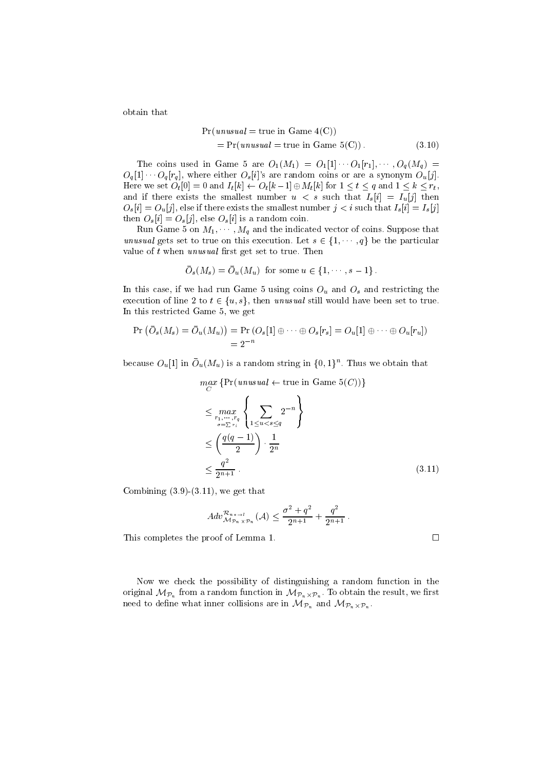obtain that

$$
Pr(unusual = true in Game 4(C))
$$
  
= Pr(unusual = true in Game 5(C)). (3.10)

The coins used in Game 5 are  $O_1(M_1) = O_1[1] \cdots O_1[r_1], \cdots, O_q(M_q)$  $O_q[1]$   $O_q[r_q]$ , where either  $O_s[i]$ 's are random coins or are a synonym  $O_u[j]$ . Here we set  $O_t[0] = 0$  and  $I_t[k] \leftarrow O_t[k-1] \oplus M_t[k]$  for  $1 \le t \le q$  and  $1 \le k \le r_t$ , and if there exists the smallest number  $u < s$  such that  $I_s[i] = I_u[j]$  then  $O_s[i] = O_u[j]$ , else if there exists the smallest number  $j < i$  such that  $I_s[i] = I_s[j]$ then  $O_s[i] = O_s[j]$ , else  $O_s[i]$  is a random coin.

Run Game 5 on  $M_1, \cdots, M_q$  and the indicated vector of coins. Suppose that unusual gets set to true on this execution. Let  $s \in \{1, \dots, q\}$  be the particular value of  $t$  when unusual first get set to true. Then

$$
\overline{O}_s(M_s) = \overline{O}_u(M_u) \text{ for some } u \in \{1, \dots, s-1\}.
$$

In this case, if we had run Game 5 using coins  $O_u$  and  $O_s$  and restricting the execution of line 2 to  $t \in \{u, s\}$ , then unusual still would have been set to true. In this restricted Game 5, we get

$$
\Pr\left(\bar{O}_s(M_s) = \bar{O}_u(M_u)\right) = \Pr\left(O_s[1] \oplus \cdots \oplus O_s[r_s] = O_u[1] \oplus \cdots \oplus O_u[r_u]\right) \\ = 2^{-n}
$$

because  $O_u[1]$  in  $O_u(M_u)$  is a random string in  $\{0,1\}^n$ . Thus we obtain that

$$
\begin{aligned}\n\max_{C} \{ \Pr(unusual \leftarrow \text{true in Game } 5(C)) \} \\
&\leq \max_{r_1, \dots, r_q \atop \sigma = \sum r_i} \left\{ \sum_{1 \leq u < s \leq q} 2^{-n} \right\} \\
&\leq \left( \frac{q(q-1)}{2} \right) \cdot \frac{1}{2^n} \\
&\leq \frac{q^2}{2^{n+1}}.\n\end{aligned} \tag{3.11}
$$

Combining  $(3.9)-(3.11)$ , we get that

$$
Adv_{\mathcal{M}_{\mathcal{P}_n \times \mathcal{P}_n}}^{\mathcal{R}_{n \times \mathcal{P}_n}} (\mathcal{A}) \le \frac{\sigma^2 + q^2}{2^{n+1}} + \frac{q^2}{2^{n+1}}.
$$

This completes the proof of Lemma 1.

Now we check the possibility of distinguishing a random function in the  $\cdots$  original MPn from a random function in  $\cdots$  . The results is the results of  $\cdots$  and  $\cdots$  $\eta$  . The inner collisions are inner collisions are in  $\eta$  . The inner collisions are in  $\eta$ 

$$
\Box
$$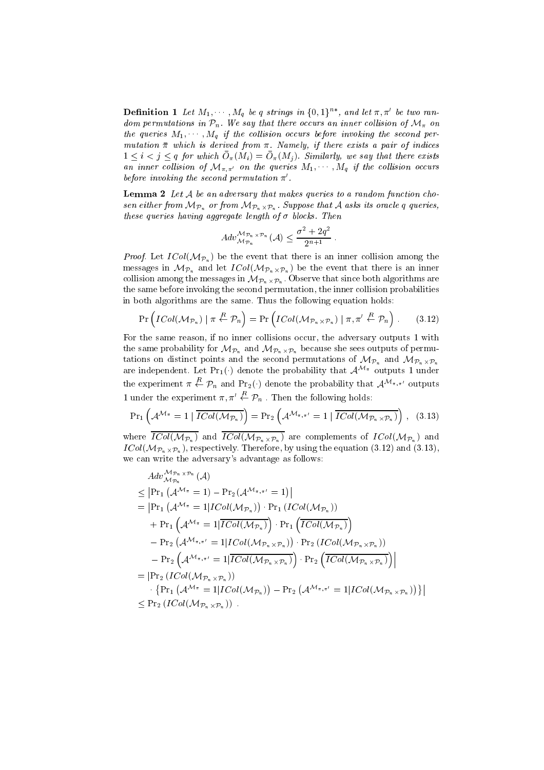**Definition 1** Let  $M_1, \cdots, M_q$  be  $q$  strings in  $\{0,1\}^{n*}$ , and let  $\pi, \pi'$  be two ran $a$  and permutations in  $P_n$ . We say that there occurs an inner collision of  $N$  on the queries  $M_1, \cdots, M_q$  if the collision occurs before invoking the second permutation  $\bar{\pi}$  which is derived from  $\pi$ . Namely, if there exists a pair of indices  $1 \leq i \leq j \leq q$  for which  $\sigma_{\pi}(M_i) = \sigma_{\pi}(M_j)$ . Similarly, we say that there exists an inner collision of  $\mathcal{M}_{\pi,\pi'}$  on the queries  $M_1, \cdots, M_q$  if the collision occurs before invoking the second permutation  $\pi'$ .

**Lemma 2** Let  $A$  be an adversary that makes queries to a random function chosen either from MPn or from MPn-Pn . Suppose that <sup>A</sup> asks its oracle <sup>q</sup> queries, these queries having aggregate length of  $\sigma$  blocks. Then

$$
Adv_{\mathcal{M}_{\mathcal{P}_n}}^{\mathcal{M}_{\mathcal{P}_n} \times \mathcal{P}_n} (\mathcal{A}) \leq \frac{\sigma^2 + 2q^2}{2^{n+1}}.
$$

*Proof.* Let  $ICol(\mathcal{M}_{\mathcal{P}_n})$  be the event that there is an inner collision among the messages in MP<sub>n</sub> and let  $\cdots$   $\cdots$   $\cdots$  ( $\cdots$   $\cdots$   $\cdots$   $\cdots$  ) be the event that the event that the event that the event that the event that the event of  $\cdots$ collision among the messages in MPn-Pn . Observe that since both algorithms are the same before invoking the second permutation, the inner collision probabilities in both algorithms are the same. Thus the following equation holds:

$$
\Pr\left(ICol(\mathcal{M}_{\mathcal{P}_n}) \mid \pi \stackrel{R}{\leftarrow} \mathcal{P}_n\right) = \Pr\left(ICol(\mathcal{M}_{\mathcal{P}_n \times \mathcal{P}_n}) \mid \pi, \pi' \stackrel{R}{\leftarrow} \mathcal{P}_n\right). \tag{3.12}
$$

For the same reason, if no inner collisions occur, the adversary outputs 1 with the same probability for MPn and MPn-because she sees of permutation of permutations of permutations of permutations of permutations of permutations of permutations of permutations of permutations of permutations of permut tations on distinct points and the second permutations of MP<sub>n</sub> and MP<sub>n</sub>  $\cdots$ are independent. Let  $Pr_1(\cdot)$  denote the probability that  $\mathcal{A}^{\mathcal{M}_{\pi}}$  outputs 1 under the experiment  $\pi \stackrel{R}{\leftarrow} \mathcal{P}_n$  and  $\Pr_2(\cdot)$  denote the probability that  $\mathcal{A}^{\mathcal{M}_{\pi,\pi'}}$  outputs 1 under the experiment  $\pi, \pi' \stackrel{R}{\leftarrow} \mathcal{P}_n$ . Then the following holds:

$$
\Pr_{1}\left(\mathcal{A}^{\mathcal{M}_{\pi}}=1 \mid \overline{ICol(\mathcal{M}_{\mathcal{P}_{n}})}\right)=\Pr_{2}\left(\mathcal{A}^{\mathcal{M}_{\pi,\pi'}}=1 \mid \overline{ICol(\mathcal{M}_{\mathcal{P}_{n}\times\mathcal{P}_{n}})}\right), (3.13)
$$

where ICOL(MPn) and ICOL(MPn- $\wedge$ Pn- $\wedge$ Pn- $\wedge$ Pn) and ICol(MPn-iCol(MPn) and ICOL(MPn) and ICO ICOL(MPN-H), respectively. Therefore, by using the equation (3.12), where  $\alpha$ we can write the adversary's advantage as follows:

$$
Adv_{\mathcal{M}_{\mathcal{P}_n}}^{\mathcal{M}_{\mathcal{P}_n \times \mathcal{P}_n}}(\mathcal{A})
$$
\n
$$
\leq \left| \Pr_1 \left( \mathcal{A}^{\mathcal{M}_{\pi}} = 1 \right) - \Pr_2(\mathcal{A}^{\mathcal{M}_{\pi,\pi'}} = 1) \right|
$$
\n
$$
= \left| \Pr_1 \left( \mathcal{A}^{\mathcal{M}_{\pi}} = 1 \middle| \mathcal{ICol}(\mathcal{M}_{\mathcal{P}_n}) \right) \cdot \Pr_1 \left( \mathcal{ICol}(\mathcal{M}_{\mathcal{P}_n}) \right)
$$
\n
$$
+ \Pr_1 \left( \mathcal{A}^{\mathcal{M}_{\pi}} = 1 \middle| \overline{\mathcal{ICol}(\mathcal{M}_{\mathcal{P}_n})} \right) \cdot \Pr_1 \left( \overline{\mathcal{ICol}(\mathcal{M}_{\mathcal{P}_n})} \right)
$$
\n
$$
- \Pr_2 \left( \mathcal{A}^{\mathcal{M}_{\pi,\pi'}} = 1 \middle| \mathcal{ICol}(\mathcal{M}_{\mathcal{P}_n \times \mathcal{P}_n}) \right) \cdot \Pr_2 \left( \mathcal{ICol}(\mathcal{M}_{\mathcal{P}_n \times \mathcal{P}_n}) \right)
$$
\n
$$
- \Pr_2 \left( \mathcal{A}^{\mathcal{M}_{\pi,\pi'}} = 1 \middle| \overline{\mathcal{ICol}(\mathcal{M}_{\mathcal{P}_n \times \mathcal{P}_n})} \right) \cdot \Pr_2 \left( \overline{\mathcal{ICol}(\mathcal{M}_{\mathcal{P}_n \times \mathcal{P}_n})} \right) \right|
$$
\n
$$
= \left| \Pr_2 \left( \mathcal{ICol}(\mathcal{M}_{\mathcal{P}_n \times \mathcal{P}_n}) \right)
$$
\n
$$
\cdot \left\{ \Pr_1 \left( \mathcal{A}^{\mathcal{M}_{\pi}} = 1 \middle| \mathcal{ICol}(\mathcal{M}_{\mathcal{P}_n}) \right) - \Pr_2 \left( \mathcal{A}^{\mathcal{M}_{\pi,\pi'}} = 1 \middle| \mathcal{ICol}(\mathcal{M}_{\mathcal{P}_n \times \mathcal{P}_n}) \right) \right|
$$
\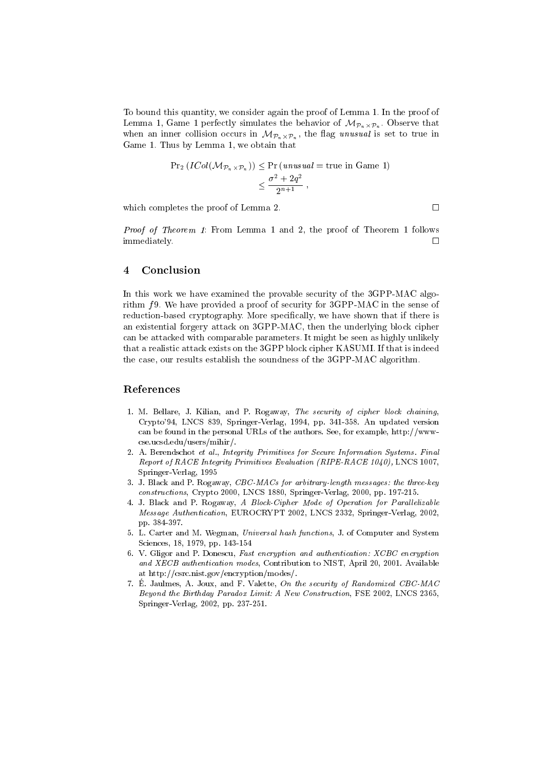To bound this quantity, we consider again the proof of Lemma 1. In the proof of  $-$  --------  $-$  , denote that  $\mathcal{L}$  is the behavior of  $\mathcal{L}$  . Observe that  $\mathcal{L}$  ,  $\mathcal{L}$  ,  $\mathcal{L}$  ,  $\mathcal{L}$  ,  $\mathcal{L}$  ,  $\mathcal{L}$  ,  $\mathcal{L}$  ,  $\mathcal{L}$  ,  $\mathcal{L}$  ,  $\mathcal{L}$  ,  $\mathcal{L}$  ,  $\mathcal{L}$  ,  $\mathcal{L$ where the inner collision occurs in MP<sub>n-</sub>  $\ldots$  ,  $\ldots$   $\ldots$   $\ldots$   $\ldots$  is the true in  $\ldots$ Game 1. Thus by Lemma 1, we obtain that

$$
\begin{aligned} \Pr_2\left(ICol(\mathcal{M}_{\mathcal{P}_n \times \mathcal{P}_n})\right) &\leq \Pr\left(\text{unusual} = \text{true in Game 1}\right) \\ &\leq \frac{\sigma^2 + 2q^2}{2^{n+1}}, \end{aligned}
$$

which completes the proof of Lemma 2.

Proof of Theorem 1: From Lemma 1 and 2, the proof of Theorem 1 follows immediately.  $\Box$ 

## 4 Conclusion

In this work we have examined the provable security of the 3GPP-MAC algorithm  $f$ 9. We have provided a proof of security for 3GPP-MAC in the sense of reduction-based cryptography. More specically, we have shown that if there is an existential forgery attack on 3GPP-MAC, then the underlying block cipher can be attacked with comparable parameters. It might be seen as highly unlikely that a realistic attack exists on the 3GPP block cipher KASUMI. If that is indeed the case, our results establish the soundness of the 3GPP-MAC algorithm.

### References

- 1. M. Bellare, J. Kilian, and P. Rogaway, The security of cipher block chaining, Crypto'94, LNCS 839, Springer-Verlag, 1994, pp. 341-358. An updated version can be found in the personal URLs of the authors. See, for example, http://wwwcse.ucsd.edu/users/mihir/.
- 2. A. Berendschot et al., Integrity Primitives for Secure Information Systems. Final Report of RACE Integrity Primitives Evaluation (RIPE-RACE 1040), LNCS 1007, Springer-Verlag, 1995
- 3. J. Black and P. Rogaway, CBC-MACs for arbitrary-length messages: the three-key constructions, Crypto 2000, LNCS 1880, Springer-Verlag, 2000, pp. 197-215.
- 4. J. Black and P. Rogaway, A Block-Cipher Mode of Operation for Parallelizable Message Authentication, EUROCRYPT 2002, LNCS 2332, Springer-Verlag, 2002, pp. 384-397.
- 5. L. Carter and M. Wegman, Universal hash functions, J. of Computer and System Sciences, 18, 1979, pp. 143-154
- 6. V. Gligor and P. Donescu, Fast encryption and authentication: XCBC encryption and XECB authentication modes, Contribution to NIST, April 20, 2001. Available at http://csrc.nist.gov/encryption/modes/.
- 7. E. Jaulmes, A. Joux, and F. Valette, On the security of Randomized CBC-MAC Beyond the Birthday Paradox Limit: A New Construction, FSE 2002, LNCS 2365, Springer-Verlag, 2002, pp. 237-251.